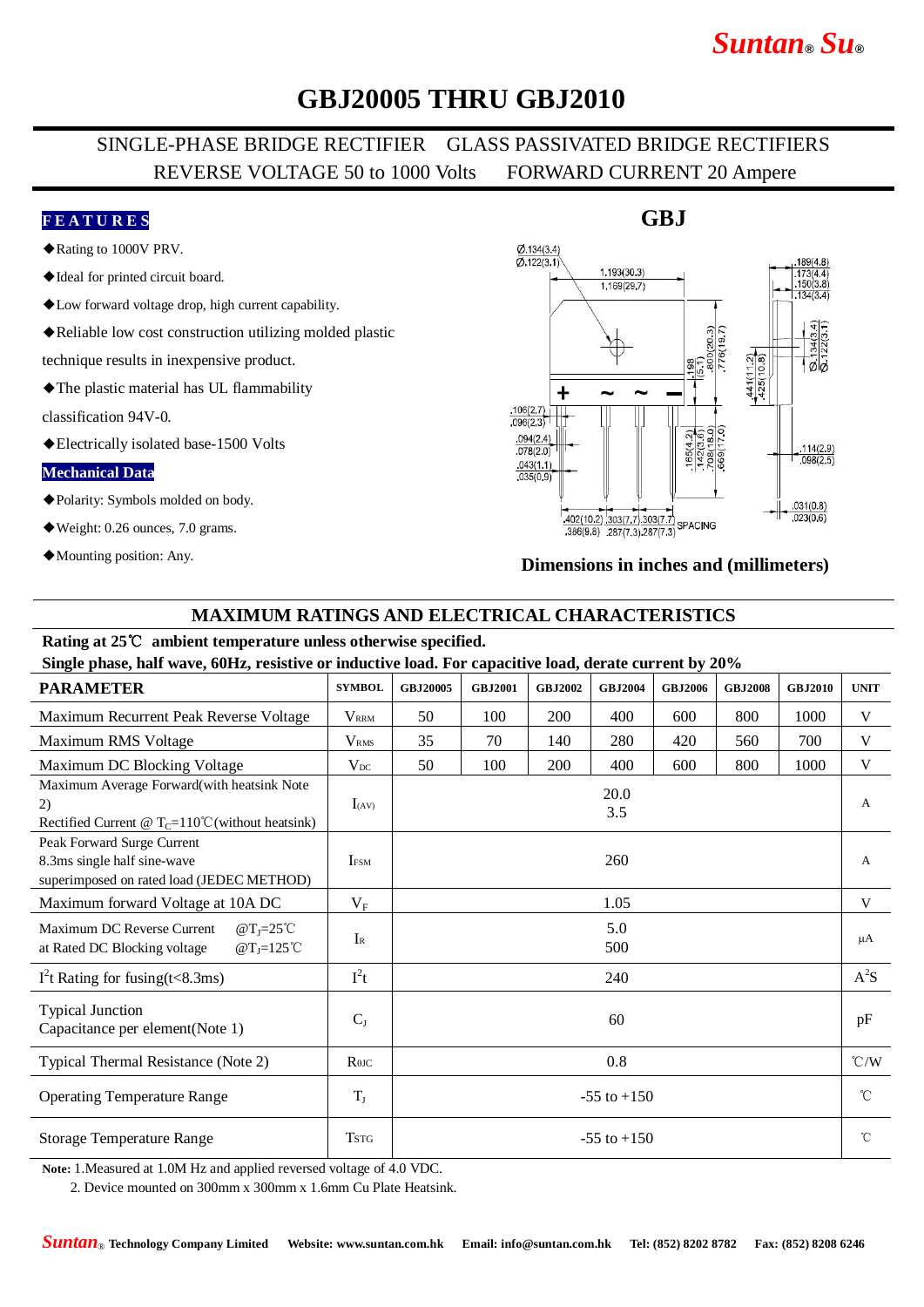# *Suntan***®** *Su***®**

### **GBJ20005 THRU GBJ2010**

### SINGLE-PHASE BRIDGE RECTIFIER GLASS PASSIVATED BRIDGE RECTIFIERS REVERSE VOLTAGE 50 to 1000 Volts FORWARD CURRENT 20 Ampere

#### **F E A T U R E S**

- ◆Rating to 1000V PRV.
- ◆Ideal for printed circuit board.
- ◆Low forward voltage drop, high current capability.
- ◆Reliable low cost construction utilizing molded plastic

technique results in inexpensive product.

◆The plastic material has UL flammability

classification 94V-0.

◆Electrically isolated base-1500 Volts

#### **Mechanical Data**

- ◆Polarity: Symbols molded on body.
- ◆Weight: 0.26 ounces, 7.0 grams.
- ◆Mounting position: Any.

#### $Ø$  134(3.4)  $\overline{0}$  122(3.1)  $1.193(30.3)$ 173(4<br>150(3  $1.169(29.7)$ 20 441(112)<br>425(10.8)  $\sigma$ +  $.106(2.7)$  $.096(2.3)$ 65(4.2)  $.094(2.4)$  $\frac{.114(2.9)}{.098(2.5)}$  $.078(2.0)$  $.043(1.1)$  $.035(0.9)$  $031(0.8)$ 402(10.2) 303(7.7) 303(7.7)<br>386(0.8) 303(7.7) 303(7.7) SPACING  $.023(0.6)$  $386(9.8)$  287(7.3) 287(7.3)

#### **Dimensions in inches and (millimeters)**

#### **MAXIMUM RATINGS AND ELECTRICAL CHARACTERISTICS**

### **Rating at 25**℃ **ambient temperature unless otherwise specified.**

**Single phase, half wave, 60Hz, resistive or inductive load. For capacitive load, derate current by 20%**

| $\mu$ , $\mu$ , $\mu$ , $\mu$ , $\mu$ , $\mu$ , $\mu$ , $\mu$ , $\mu$ , $\mu$ , $\mu$ , $\mu$ , $\mu$ , $\mu$ , $\mu$ , $\mu$ , $\mu$ , $\mu$ , $\mu$ , $\mu$ , $\mu$ , $\mu$ , $\mu$ , $\mu$ , $\mu$ |                         |                 |                |                |                |                |                |                |                    |
|-------------------------------------------------------------------------------------------------------------------------------------------------------------------------------------------------------|-------------------------|-----------------|----------------|----------------|----------------|----------------|----------------|----------------|--------------------|
| <b>PARAMETER</b>                                                                                                                                                                                      | <b>SYMBOL</b>           | GBJ20005        | <b>GBJ2001</b> | <b>GBJ2002</b> | <b>GBJ2004</b> | <b>GBJ2006</b> | <b>GBJ2008</b> | <b>GBJ2010</b> | <b>UNIT</b>        |
| Maximum Recurrent Peak Reverse Voltage                                                                                                                                                                | <b>V</b> <sub>RRM</sub> | 50              | 100            | 200            | 400            | 600            | 800            | 1000           | V                  |
| Maximum RMS Voltage                                                                                                                                                                                   | <b>V</b> <sub>RMS</sub> | 35              | 70             | 140            | 280            | 420            | 560            | 700            | V                  |
| Maximum DC Blocking Voltage                                                                                                                                                                           | $V_{DC}$                | 50              | 100            | 200            | 400            | 600            | 800            | 1000           | V                  |
| Maximum Average Forward(with heatsink Note<br>2)<br>Rectified Current @ $T_c = 110^{\circ}$ C (without heatsink)                                                                                      | $I_{(AV)}$              | 20.0<br>3.5     |                |                |                |                |                |                | A                  |
| Peak Forward Surge Current<br>8.3ms single half sine-wave<br>superimposed on rated load (JEDEC METHOD)                                                                                                | <b>IFSM</b>             | 260             |                |                |                |                |                |                | А                  |
| Maximum forward Voltage at 10A DC                                                                                                                                                                     | $V_{\rm F}$             | 1.05            |                |                |                |                |                |                | V                  |
| Maximum DC Reverse Current<br>$@T_1=25^{\circ}$ C<br>$@T_1=125^{\circ}C$<br>at Rated DC Blocking voltage                                                                                              | $I_{R}$                 | 5.0<br>500      |                |                |                |                |                |                | $\mu A$            |
| $I2t$ Rating for fusing(t<8.3ms)                                                                                                                                                                      | $I^2t$                  | 240             |                |                |                |                |                |                | $A^2S$             |
| <b>Typical Junction</b><br>Capacitance per element(Note 1)                                                                                                                                            | $C_{J}$                 | 60              |                |                |                |                |                |                | pF                 |
| Typical Thermal Resistance (Note 2)                                                                                                                                                                   | $R$ $\theta$ JC         | 0.8             |                |                |                |                |                |                | $\rm ^{\circ}$ C/W |
| <b>Operating Temperature Range</b>                                                                                                                                                                    | $T_{J}$                 | $-55$ to $+150$ |                |                |                |                |                |                | $^{\circ}$ C       |
| <b>Storage Temperature Range</b>                                                                                                                                                                      | Tstg                    | $-55$ to $+150$ |                |                |                |                |                |                | °C                 |

**Note:** 1.Measured at 1.0M Hz and applied reversed voltage of 4.0 VDC.

2. Device mounted on 300mm x 300mm x 1.6mm Cu Plate Heatsink.

### **GBJ**